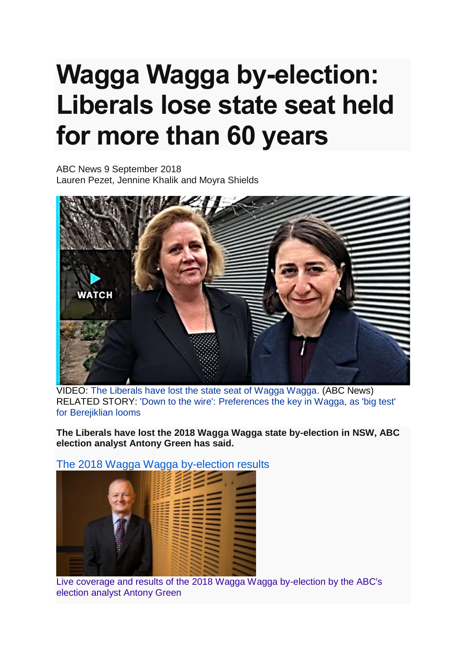## **Wagga Wagga by-election: Liberals lose state seat held for more than 60 years**

ABC News 9 September 2018 Lauren Pezet, Jennine Khalik and Moyra Shields



VIDEO: [The Liberals have lost the state seat of Wagga Wagga.](http://www.abc.net.au/news/2018-09-09/liberals-lose-state-seat-held-for-60-years/10218776) (ABC News) RELATED STORY: ['Down to the wire': Preferences the key in Wagga, as 'big test'](http://www.abc.net.au/news/2018-09-08/wagga-by-election-test-for-liberal-berejiklian-government/10215734)  [for Berejiklian looms](http://www.abc.net.au/news/2018-09-08/wagga-by-election-test-for-liberal-berejiklian-government/10215734)

**The Liberals have lost the 2018 Wagga Wagga state by-election in NSW, ABC election analyst Antony Green has said.**



[The 2018 Wagga Wagga by-election results](http://www.abc.net.au/news/elections/wagga-wagga-by-election-2018/results/)

[Live coverage and results of the 2018 Wagga Wagga by-election by the ABC's](http://www.abc.net.au/news/elections/wagga-wagga-by-election-2018/results/)  [election analyst Antony Green](http://www.abc.net.au/news/elections/wagga-wagga-by-election-2018/results/)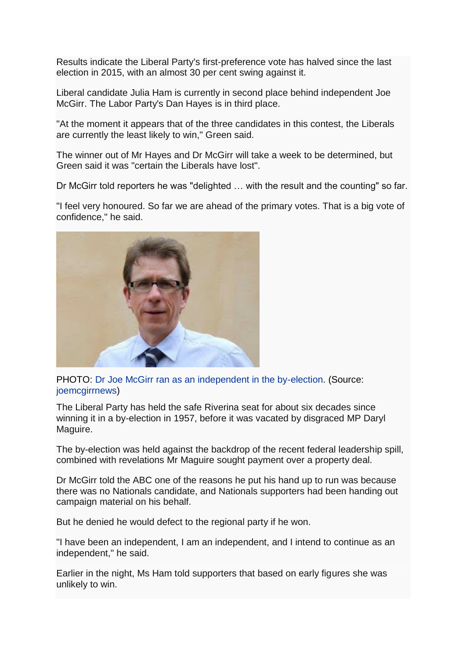Results indicate the Liberal Party's first-preference vote has halved since the last election in 2015, with an almost 30 per cent swing against it.

Liberal candidate Julia Ham is currently in second place behind independent Joe McGirr. The Labor Party's Dan Hayes is in third place.

"At the moment it appears that of the three candidates in this contest, the Liberals are currently the least likely to win," Green said.

The winner out of Mr Hayes and Dr McGirr will take a week to be determined, but Green said it was "certain the Liberals have lost".

Dr McGirr told reporters he was "delighted … with the result and the counting" so far.

"I feel very honoured. So far we are ahead of the primary votes. That is a big vote of confidence," he said.



PHOTO: [Dr Joe McGirr ran as an independent in the by-election.](http://www.abc.net.au/news/2018-09-09/joe-mcgirr/10217812) (Source: [joemcgirrnews\)](http://www.abc.net.au/news/2018-09-09/joe-mcgirr/10217812)

The Liberal Party has held the safe Riverina seat for about six decades since winning it in a by-election in 1957, before it was vacated by disgraced MP Daryl Maguire.

The by-election was held against the backdrop of the recent federal leadership spill, combined with revelations Mr Maguire sought payment over a property deal.

Dr McGirr told the ABC one of the reasons he put his hand up to run was because there was no Nationals candidate, and Nationals supporters had been handing out campaign material on his behalf.

But he denied he would defect to the regional party if he won.

"I have been an independent, I am an independent, and I intend to continue as an independent," he said.

Earlier in the night, Ms Ham told supporters that based on early figures she was unlikely to win.